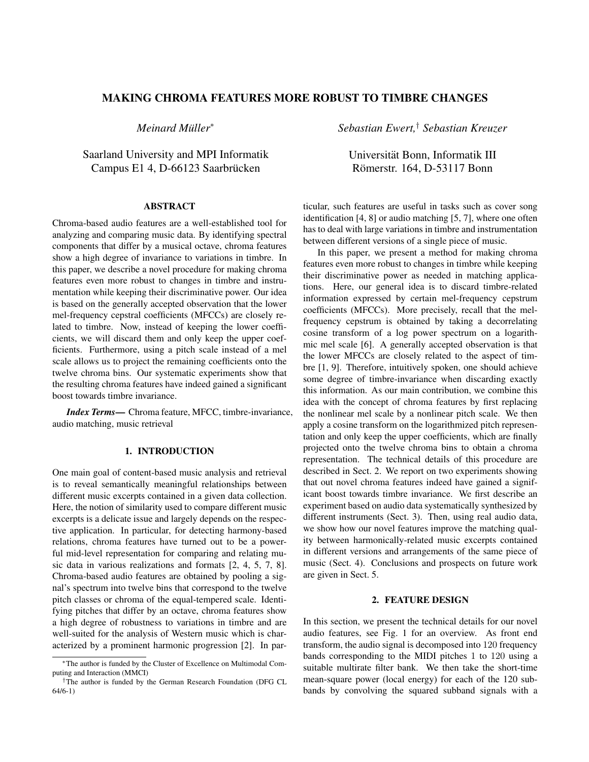# **MAKING CHROMA FEATURES MORE ROBUST TO TIMBRE CHANGES**

*Meinard Muller ¨* ∗

Saarland University and MPI Informatik Campus E1 4, D-66123 Saarbrücken

# **ABSTRACT**

Chroma-based audio features are a well-established tool for analyzing and comparing music data. By identifying spectral components that differ by a musical octave, chroma features show a high degree of invariance to variations in timbre. In this paper, we describe a novel procedure for making chroma features even more robust to changes in timbre and instrumentation while keeping their discriminative power. Our idea is based on the generally accepted observation that the lower mel-frequency cepstral coefficients (MFCCs) are closely related to timbre. Now, instead of keeping the lower coefficients, we will discard them and only keep the upper coefficients. Furthermore, using a pitch scale instead of a mel scale allows us to project the remaining coefficients onto the twelve chroma bins. Our systematic experiments show that the resulting chroma features have indeed gained a significant boost towards timbre invariance.

*Index Terms***—** Chroma feature, MFCC, timbre-invariance, audio matching, music retrieval

# **1. INTRODUCTION**

One main goal of content-based music analysis and retrieval is to reveal semantically meaningful relationships between different music excerpts contained in a given data collection. Here, the notion of similarity used to compare different music excerpts is a delicate issue and largely depends on the respective application. In particular, for detecting harmony-based relations, chroma features have turned out to be a powerful mid-level representation for comparing and relating music data in various realizations and formats [2, 4, 5, 7, 8]. Chroma-based audio features are obtained by pooling a signal's spectrum into twelve bins that correspond to the twelve pitch classes or chroma of the equal-tempered scale. Identifying pitches that differ by an octave, chroma features show a high degree of robustness to variations in timbre and are well-suited for the analysis of Western music which is characterized by a prominent harmonic progression [2]. In par*Sebastian Ewert,*† *Sebastian Kreuzer*

Universitat Bonn, Informatik III ¨ Römerstr. 164, D-53117 Bonn

ticular, such features are useful in tasks such as cover song identification [4, 8] or audio matching [5, 7], where one often has to deal with large variations in timbre and instrumentation between different versions of a single piece of music.

In this paper, we present a method for making chroma features even more robust to changes in timbre while keeping their discriminative power as needed in matching applications. Here, our general idea is to discard timbre-related information expressed by certain mel-frequency cepstrum coefficients (MFCCs). More precisely, recall that the melfrequency cepstrum is obtained by taking a decorrelating cosine transform of a log power spectrum on a logarithmic mel scale [6]. A generally accepted observation is that the lower MFCCs are closely related to the aspect of timbre [1, 9]. Therefore, intuitively spoken, one should achieve some degree of timbre-invariance when discarding exactly this information. As our main contribution, we combine this idea with the concept of chroma features by first replacing the nonlinear mel scale by a nonlinear pitch scale. We then apply a cosine transform on the logarithmized pitch representation and only keep the upper coefficients, which are finally projected onto the twelve chroma bins to obtain a chroma representation. The technical details of this procedure are described in Sect. 2. We report on two experiments showing that out novel chroma features indeed have gained a significant boost towards timbre invariance. We first describe an experiment based on audio data systematically synthesized by different instruments (Sect. 3). Then, using real audio data, we show how our novel features improve the matching quality between harmonically-related music excerpts contained in different versions and arrangements of the same piece of music (Sect. 4). Conclusions and prospects on future work are given in Sect. 5.

## **2. FEATURE DESIGN**

In this section, we present the technical details for our novel audio features, see Fig. 1 for an overview. As front end transform, the audio signal is decomposed into 120 frequency bands corresponding to the MIDI pitches 1 to 120 using a suitable multirate filter bank. We then take the short-time mean-square power (local energy) for each of the 120 subbands by convolving the squared subband signals with a

<sup>∗</sup>The author is funded by the Cluster of Excellence on Multimodal Computing and Interaction (MMCI)

<sup>†</sup>The author is funded by the German Research Foundation (DFG CL 64/6-1)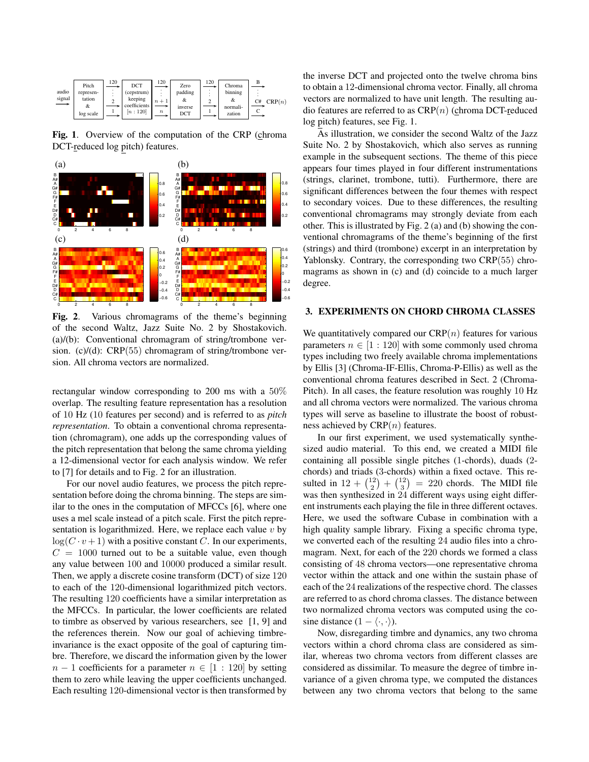| audio<br>signal<br>$\overline{\phantom{0}}$ | Pitch<br>represen-<br>tation<br>&<br>log scale | 120 | DCT<br>(cepstrum)<br>keeping<br>coefficients<br>[n:120] | 120<br>$n+1$<br>$\boldsymbol{n}$ | Zero<br>padding<br>&<br>inverse<br>DCT | 120 | Chroma<br>binning<br>&<br>normali-<br>zation | CRP(n)<br>C# |
|---------------------------------------------|------------------------------------------------|-----|---------------------------------------------------------|----------------------------------|----------------------------------------|-----|----------------------------------------------|--------------|
|---------------------------------------------|------------------------------------------------|-----|---------------------------------------------------------|----------------------------------|----------------------------------------|-----|----------------------------------------------|--------------|

**Fig. 1**. Overview of the computation of the CRP (chroma DCT-reduced log pitch) features.



**Fig. 2**. Various chromagrams of the theme's beginning of the second Waltz, Jazz Suite No. 2 by Shostakovich. (a)/(b): Conventional chromagram of string/trombone version. (c)/(d): CRP(55) chromagram of string/trombone version. All chroma vectors are normalized.

rectangular window corresponding to 200 ms with a 50% overlap. The resulting feature representation has a resolution of 10 Hz (10 features per second) and is referred to as *pitch representation*. To obtain a conventional chroma representation (chromagram), one adds up the corresponding values of the pitch representation that belong the same chroma yielding a 12-dimensional vector for each analysis window. We refer to [7] for details and to Fig. 2 for an illustration.

For our novel audio features, we process the pitch representation before doing the chroma binning. The steps are similar to the ones in the computation of MFCCs [6], where one uses a mel scale instead of a pitch scale. First the pitch representation is logarithmized. Here, we replace each value  $v$  by  $log(C \cdot v + 1)$  with a positive constant C. In our experiments,  $C = 1000$  turned out to be a suitable value, even though any value between 100 and 10000 produced a similar result. Then, we apply a discrete cosine transform (DCT) of size 120 to each of the 120-dimensional logarithmized pitch vectors. The resulting 120 coefficients have a similar interpretation as the MFCCs. In particular, the lower coefficients are related to timbre as observed by various researchers, see [1, 9] and the references therein. Now our goal of achieving timbreinvariance is the exact opposite of the goal of capturing timbre. Therefore, we discard the information given by the lower  $n-1$  coefficients for a parameter  $n \in [1:120]$  by setting them to zero while leaving the upper coefficients unchanged. Each resulting 120-dimensional vector is then transformed by

the inverse DCT and projected onto the twelve chroma bins to obtain a 12-dimensional chroma vector. Finally, all chroma vectors are normalized to have unit length. The resulting audio features are referred to as  $CRP(n)$  (chroma DCT-reduced log pitch) features, see Fig. 1.

As illustration, we consider the second Waltz of the Jazz Suite No. 2 by Shostakovich, which also serves as running example in the subsequent sections. The theme of this piece appears four times played in four different instrumentations (strings, clarinet, trombone, tutti). Furthermore, there are significant differences between the four themes with respect to secondary voices. Due to these differences, the resulting conventional chromagrams may strongly deviate from each other. This is illustrated by Fig. 2 (a) and (b) showing the conventional chromagrams of the theme's beginning of the first (strings) and third (trombone) excerpt in an interpretation by Yablonsky. Contrary, the corresponding two CRP(55) chromagrams as shown in (c) and (d) coincide to a much larger degree.

#### **3. EXPERIMENTS ON CHORD CHROMA CLASSES**

We quantitatively compared our  $CRP(n)$  features for various parameters  $n \in [1:120]$  with some commonly used chroma types including two freely available chroma implementations by Ellis [3] (Chroma-IF-Ellis, Chroma-P-Ellis) as well as the conventional chroma features described in Sect. 2 (Chroma-Pitch). In all cases, the feature resolution was roughly 10 Hz and all chroma vectors were normalized. The various chroma types will serve as baseline to illustrate the boost of robustness achieved by  $CRP(n)$  features.

In our first experiment, we used systematically synthesized audio material. To this end, we created a MIDI file containing all possible single pitches (1-chords), duads (2 chords) and triads (3-chords) within a fixed octave. This resulted in  $12 + \binom{12}{2} + \binom{12}{3} = 220$  chords. The MIDI file was then synthesized in 24 different ways using eight different instruments each playing the file in three different octaves. Here, we used the software Cubase in combination with a high quality sample library. Fixing a specific chroma type, we converted each of the resulting 24 audio files into a chromagram. Next, for each of the 220 chords we formed a class consisting of 48 chroma vectors—one representative chroma vector within the attack and one within the sustain phase of each of the 24 realizations of the respective chord. The classes are referred to as chord chroma classes. The distance between two normalized chroma vectors was computed using the cosine distance  $(1 - \langle \cdot, \cdot \rangle)$ .

Now, disregarding timbre and dynamics, any two chroma vectors within a chord chroma class are considered as similar, whereas two chroma vectors from different classes are considered as dissimilar. To measure the degree of timbre invariance of a given chroma type, we computed the distances between any two chroma vectors that belong to the same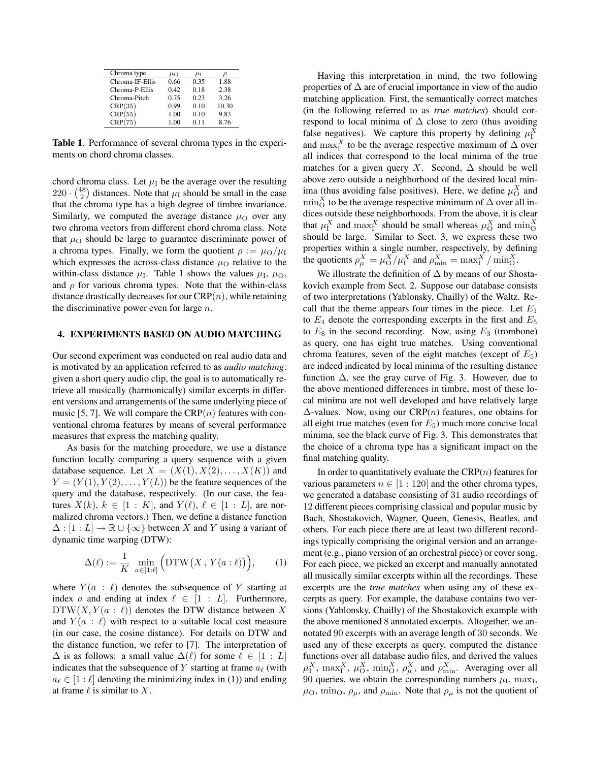| Chroma type     | $\mu_{\Omega}$ | $\mu_{\rm I}$ |       |  |
|-----------------|----------------|---------------|-------|--|
| Chroma-IF-Ellis | 0.66           | 0.35          | 1.88  |  |
| Chroma-P-Ellis  | 0.42           | 0.18          | 2.38  |  |
| Chroma-Pitch    | 0.75           | 0.23          | 3.26  |  |
| CRP(35)         | 0.99           | 0.10          | 10.30 |  |
| CRP(55)         | 1.00           | 0.10          | 9.83  |  |
| CRP(75)         | 1.00           | 011           | 8.76  |  |

**Table 1**. Performance of several chroma types in the experiments on chord chroma classes.

chord chroma class. Let  $\mu_I$  be the average over the resulting  $220 \cdot {48 \choose 2}$  distances. Note that  $\mu_I$  should be small in the case that the chroma type has a high degree of timbre invariance. Similarly, we computed the average distance  $\mu_{\rm O}$  over any two chroma vectors from different chord chroma class. Note that  $\mu_{\rm O}$  should be large to guarantee discriminate power of a chroma types. Finally, we form the quotient  $\rho := \mu_{\Omega}/\mu_{\text{I}}$ which expresses the across-class distance  $\mu_{\rm O}$  relative to the within-class distance  $\mu_I$ . Table 1 shows the values  $\mu_I$ ,  $\mu_O$ , and  $\rho$  for various chroma types. Note that the within-class distance drastically decreases for our  $CRP(n)$ , while retaining the discriminative power even for large  $n$ .

## **4. EXPERIMENTS BASED ON AUDIO MATCHING**

Our second experiment was conducted on real audio data and is motivated by an application referred to as *audio matching*: given a short query audio clip, the goal is to automatically retrieve all musically (harmonically) similar excerpts in different versions and arrangements of the same underlying piece of music [5, 7]. We will compare the  $CRP(n)$  features with conventional chroma features by means of several performance measures that express the matching quality.

As basis for the matching procedure, we use a distance function locally comparing a query sequence with a given database sequence. Let  $X = (X(1), X(2), \ldots, X(K))$  and  $Y = (Y(1), Y(2), \ldots, Y(L))$  be the feature sequences of the query and the database, respectively. (In our case, the features  $X(k)$ ,  $k \in [1: K]$ , and  $Y(\ell)$ ,  $\ell \in [1: L]$ , are normalized chroma vectors.) Then, we define a distance function  $\Delta : [1 : L] \to \mathbb{R} \cup {\infty}$  between X and Y using a variant of dynamic time warping (DTW):

$$
\Delta(\ell) := \frac{1}{K} \min_{a \in [1:\ell]} \Big( \text{DTW}\big(X, Y(a:\ell)\big) \Big), \qquad (1)
$$

where  $Y(a : \ell)$  denotes the subsequence of Y starting at index a and ending at index  $\ell \in [1 : L]$ . Furthermore,  $DTW(X, Y(a : \ell))$  denotes the DTW distance between X and  $Y(a : \ell)$  with respect to a suitable local cost measure (in our case, the cosine distance). For details on DTW and the distance function, we refer to [7]. The interpretation of  $\Delta$  is as follows: a small value  $\Delta(\ell)$  for some  $\ell \in [1 : L]$ indicates that the subsequence of Y starting at frame  $a_{\ell}$  (with  $a_{\ell} \in [1:\ell]$  denoting the minimizing index in (1)) and ending at frame  $\ell$  is similar to X.

Having this interpretation in mind, the two following properties of  $\Delta$  are of crucial importance in view of the audio matching application. First, the semantically correct matches (in the following referred to as *true matches*) should correspond to local minima of  $\Delta$  close to zero (thus avoiding false negatives). We capture this property by defining  $\mu_1^X$ and  $\max_{I}^{X}$  to be the average respective maximum of  $\Delta$  over all indices that correspond to the local minima of the true matches for a given query X. Second,  $\Delta$  should be well above zero outside a neighborhood of the desired local minima (thus avoiding false positives). Here, we define  $\mu_{\rm O}^X$  and  $\min_{\mathcal{O}}^X$  to be the average respective minimum of  $\Delta$  over all indices outside these neighborhoods. From the above, it is clear that  $\mu_1^X$  and  $\max_1^X$  should be small whereas  $\mu_0^X$  and  $\min_0^X$ should be large. Similar to Sect. 3, we express these two properties within a single number, respectively, by defining the quotients  $\rho_{\mu}^X = \mu_{\mathcal{O}}^X / \mu_{\mathcal{I}}^X$  and  $\rho_{\min}^X = \max_{\mathcal{I}}^X / \min_{\mathcal{O}}^X$ .

We illustrate the definition of ∆ by means of our Shostakovich example from Sect. 2. Suppose our database consists of two interpretations (Yablonsky, Chailly) of the Waltz. Recall that the theme appears four times in the piece. Let  $E_1$ to  $E_4$  denote the corresponding excerpts in the first and  $E_5$ to  $E_8$  in the second recording. Now, using  $E_3$  (trombone) as query, one has eight true matches. Using conventional chroma features, seven of the eight matches (except of  $E_5$ ) are indeed indicated by local minima of the resulting distance function  $\Delta$ , see the gray curve of Fig. 3. However, due to the above mentioned differences in timbre, most of these local minima are not well developed and have relatively large  $\Delta$ -values. Now, using our CRP $(n)$  features, one obtains for all eight true matches (even for  $E_5$ ) much more concise local minima, see the black curve of Fig. 3. This demonstrates that the choice of a chroma type has a significant impact on the final matching quality.

In order to quantitatively evaluate the  $CRP(n)$  features for various parameters  $n \in [1:120]$  and the other chroma types, we generated a database consisting of 31 audio recordings of 12 different pieces comprising classical and popular music by Bach, Shostakovich, Wagner, Queen, Genesis, Beatles, and others. For each piece there are at least two different recordings typically comprising the original version and an arrangement (e.g., piano version of an orchestral piece) or cover song. For each piece, we picked an excerpt and manually annotated all musically similar excerpts within all the recordings. These excerpts are the *true matches* when using any of these excerpts as query. For example, the database contains two versions (Yablonsky, Chailly) of the Shostakovich example with the above mentioned 8 annotated excerpts. Altogether, we annotated 90 excerpts with an average length of 30 seconds. We used any of these excerpts as query, computed the distance functions over all database audio files, and derived the values  $\mu_1^X$ ,  $\max_1^X$ ,  $\mu_0^X$ ,  $\min_0^X$ ,  $\rho_{\mu}^X$ , and  $\rho_{\min}^X$ . Averaging over all 90 queries, we obtain the corresponding numbers  $\mu_I$ , max<sub>I</sub>,  $\mu_{\rm O}$ , min<sub>O</sub>,  $\rho_{\mu}$ , and  $\rho_{\rm min}$ . Note that  $\rho_{\mu}$  is not the quotient of